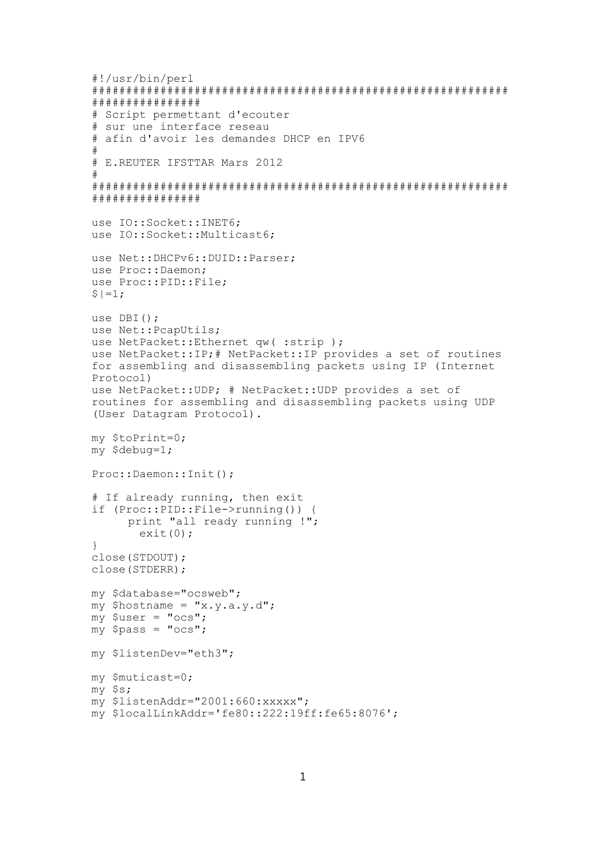```
#!/usr/bin/perl
# # # # # # # # # # # # # #
# Script permettant d'ecouter
# sur une interface reseau
# afin d'avoir les demandes DHCP en IPV6
\pm# E.REUTER IFSTTAR Mars 2012
\pm# # # # # # # # # # # # # # #
use IO::Socket::INET6;
use IO::Socket::Multicast6;
use Net:: DHCPv6:: DUID:: Parser;
use Proc::Daemon;
use Proc:: PID:: File;
S = 1;use DBI():
use Net:: PcapUtils;
use NetPacket:: Ethernet qw(: strip);
use NetPacket:: IP; # NetPacket:: IP provides a set of routines
for assembling and disassembling packets using IP (Internet
Protocol)
use NetPacket:: UDP; # NetPacket:: UDP provides a set of
routines for assembling and disassembling packets using UDP
(User Datagram Protocol).
my $toPrint=0;
my $debug=1;
Proc::Daemon::Init();
# If already running, then exit
if (Proc::PID::File->running()) {
     print "all ready running !";
      ext(0);\mathcal{E}close (STDOUT) ;
close (STDERR) ;
my $database="ocsweb";
my $hostname = "x.y.a.y.d";
my $user = "ocs";
\bar{m}y $pass = "ocs";
mv $listenDev="eth3";
my $muticast=0;
my $s;
my $listenAddr="2001:660: xxxxx";
my $localLinkAddr='fe80::222:19ff:fe65:8076';
```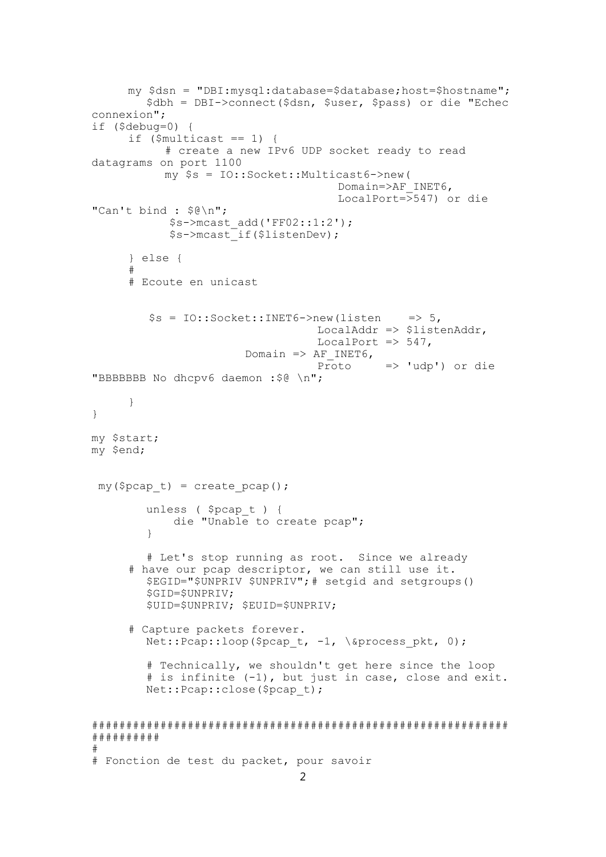```
my $dsn = "DBI: mysql: database=$database; host=$hostname";
        $dbh = DBI->connect($dsn, $user, $pass) or die "Echec
connexion";
if ($debug=0) {
     if (\text{Smulticast} == 1) {
           # create a new IPv6 UDP socket ready to read
datagrams on port 1100
           my $s = IO::Socket::Multicast6->new(
                                      Domain=>AF INET6,
                                      LocalPort=>547) or die
"Can't bind : \S@\n";
            $s->mcast_add('FF02::1:2');<br>$s->mcast_if($listenDev);
     \} else {
      ## Ecoute en unicast
        $s = IO::Socket::INET6->new(listen\Rightarrow 5.
                                  LocalAddr => $listenAddr,
                                  LocalPort \Rightarrow 547,
                       Domain => AF INET6,
                                   Proto
                                             \Rightarrow 'udp') or die
"BBBBBBB No dhcpv6 daemon : $@ \n";
     \}\mathcal{F}my $start;
my $end;
 my($pcap t) = create pcap();
        unless ($pcap t) {
            die "Unable to create pcap";
        \mathcal{E}# Let's stop running as root. Since we already
      # have our pcap descriptor, we can still use it.
        $EGID="$UNPRIV $UNPRIV"; # setgid and setgroups()
        $GID=$UNPRIV;
        $UID=$UNPRIV; $EUID=$UNPRIV;
     # Capture packets forever.
        Net:: Pcap:: loop ($pcap t, -1, \&process pkt, 0);
        # Technically, we shouldn't get here since the loop
        # is infinite (-1), but just in case, close and exit.
        Net::Pcap::close($pcap t);
# # # # # # # # #
_{\pm}# Fonction de test du packet, pour savoir
```

```
\overline{2}
```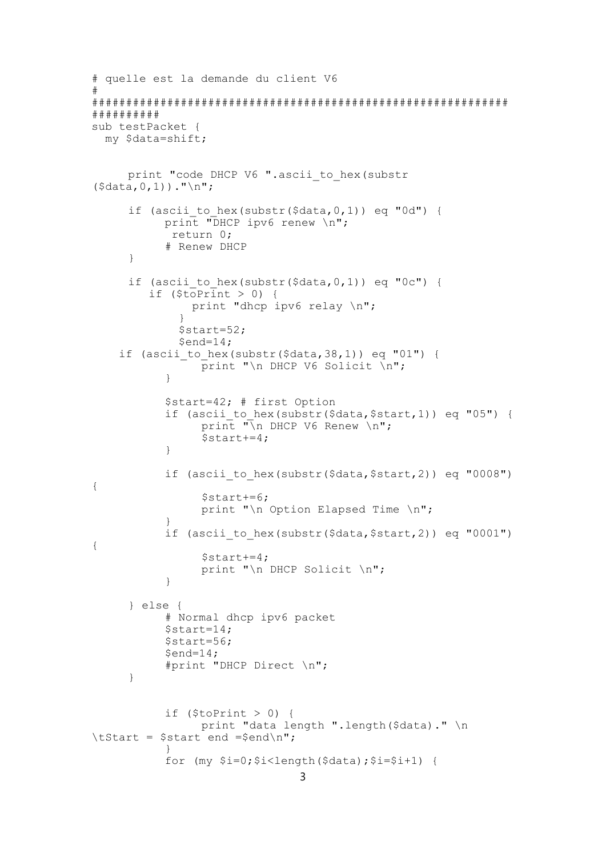```
# quelle est la demande du client V6
#
#############################################################
##########
sub testPacket {
  my $data=shift;
      print "code DHCP V6 ".ascii to hex(substr
(\text{Sdata}, 0, 1))."\n";
      if (ascii to hex(substr(\diamonddata,0,1)) eq "0d") {
           print "DHCP ipv6 renew \n";
             return 0;
            # Renew DHCP
      }
      if (ascii to hex(substr(\diamonddata,0,1)) eq "0c") {
         if (\frac{5}{\sqrt{c}}) (if \frac{1}{\sqrt{c}}) {
                print "dhcp ipv6 relay \n";
               }
               $start=52;
              $end=14;if (ascii to hex(substr(\dotsdata,38,1)) eq "01") {
                 \overline{p}rint "\n DHCP V6 Solicit \n";
            }
            $start=42; # first Option
            if (ascii to hex(substr($data,$start,1)) eq "05") {
                 print "\overline{N}n DHCP V6 Renew \n";
                  $start+=4;
            }
            if (ascii to hex(substr($data,$start,2)) eq "0008")
{
                  $start+=6;
                 print "\n Option Elapsed Time \n";
            }
            if (ascii to hex(substr($data,$start,2)) eq "0001")
{
                  $start+=4;
                 print "\n DHCP Solicit \n";
            }
      } else {
            # Normal dhcp ipv6 packet
           $start=14;
           $start=56;
            $end=14;#print "DHCP Direct \n";
      }
            if (\text{StoPrint} > 0) {
                 print "data length ".length($data)." \n
\tStart = $start end =$end\n";
           }
           for (my $i=0;$i<length($data);$i=$i+1) {
                                  3
```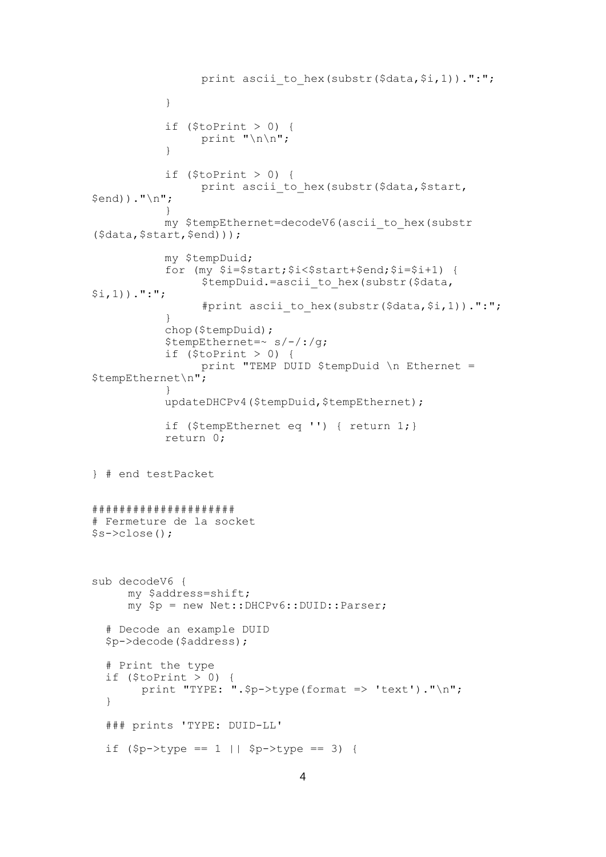```
print ascii to hex (substr($data,$i,1)).":";
            \rightarrowif (\text{StoPrint} > 0) {
                  print "\n\ln";
            \}if (\text{StoPrint} > 0) {
                  print ascii to hex (substr ($data, $start,
$end))."\n";
            my $tempEthernet=decodeV6(ascii to hex(substr
(\text{Sdata}, \text{Sstart}, \text{Send})));
            my $tempDuid;
            for (my \$i=\$start;\$i<\$start+\$end;\$i=\$i+1) {
                   $tempDuid.=ascii to hex(substr($data,
$i, 1)).":";
                   #print ascii to hex (substr($data, $i, 1)).":";
            \lambdachop ($tempDuid);
            $tempEthernet=~ s/-/:(q;if (StoPrint > 0) {
                  print "TEMP DUID $tempDuid \n Ethernet =
$tempEthernet\n";
            \cdotupdateDHCPv4($tempDuid,$tempEthernet);
            if ($tempEthernet eq '') { return 1; }
            return 0;
} # end testPacket
# # # # # # # # # # # # # # # # # # # #
# Fermeture de la socket
$s->close();
sub decodeV6 {
      my $address=shift;
      my $p = new Net:: DHCPv6:: DUID:: Parser;
  # Decode an example DUID
  $p->decode($address);
  # Print the type
  if (\text{StoPrint} > 0) {
        print "TYPE: ".$p->type(format => 'text')."\n";
  \lambda### prints 'TYPE: DUID-LL'
  if (\text{Sp-}\text{type} == 1 | \text{Sp-}\text{type} == 3) {
```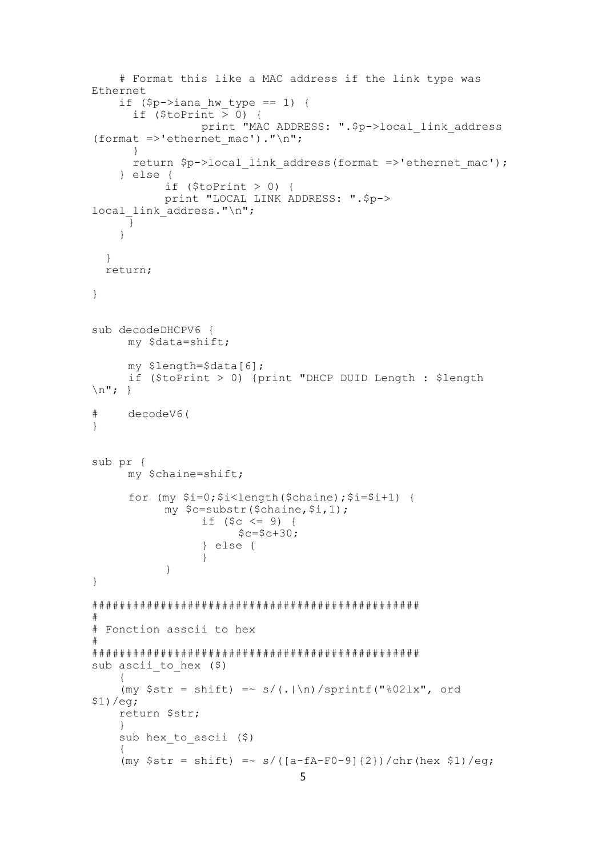```
# Format this like a MAC address if the link type was
Ethernet
    if (\text{Sp}-\text{bias}_\text{max}) == 1) {
      if (\text{StoPrint} > 0) {
                  print "MAC ADDRESS: ". $p->local link address
(format =>'ethernet mac')."\n";
      \rightarrowreturn $p->local link address (format =>'ethernet mac');
    } else {
            if (\text{StoPrint} > 0) {
            print "LOCAL LINK ADDRESS: ".$p->
local link address."\n";
      - 1
    \mathcal{E}\}return;
\mathcal{E}sub decodeDHCPV6 {
      my $data=shift;
      my $length=$data[6];
      if ($toPrint > 0) {print "DHCP DUID Length : $length
\n\langle n^{\prime\prime};\cdot\rangle#decodeV6(
\lambdasub pr {
      my $chaine=shift;
      for (my $i=0; $i<length ($\delta$) $; $i=$1+1) {
            my $c=substr($chaine,$i,1);
                  if (<math>\xi</math><i>c</i> < <math>\leq</math> 9) {$c=$c+30;} else {
                  \}\}\overline{\phantom{a}}## Fonction asscii to hex
#sub ascii to hex (5)(my \text{Str} = \text{shift}) = \frac{s}{(.\vert \ln)/\text{spring}(\text{``021x''}, \text{ord})}$1) / eq;return $str;
    \cdotsub hex to ascii ($)
    (my $str = shift) = ~ s/([a-fA-F0-9]{2})/chr(hex $1)/eg;5
```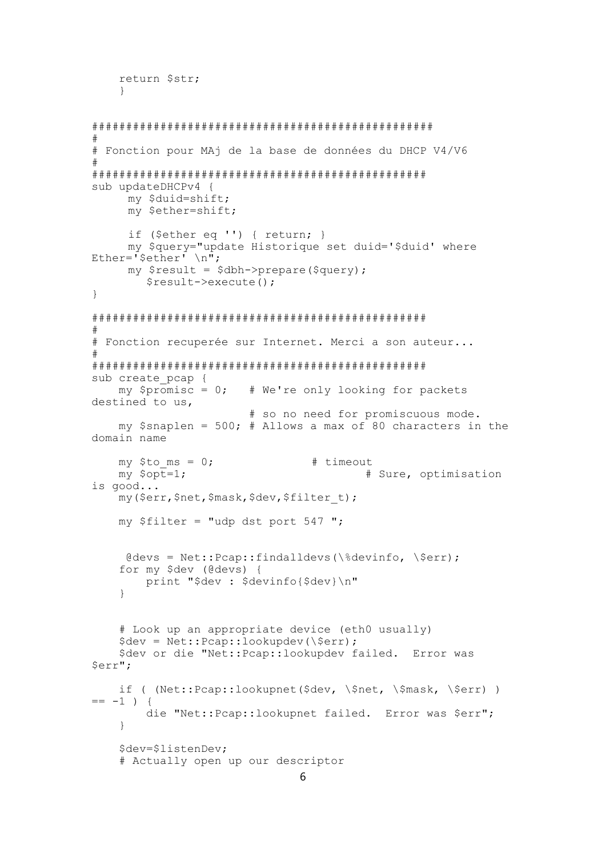```
return $str;
   \left\{ \right\}\pm# Fonction pour MAj de la base de données du DHCP V4/V6
\pmsub updateDHCPv4 {
    my $duid=shift;
    my $ether=shift;
     if ($ether eq '') { return; }
     my $query="update Historique set duid='$duid' where
Ether='$ether' \n";
    my $result = $dbh->prepare(Squery);$result->execute();
\left\{ \right.## Fonction recuperée sur Internet. Merci a son auteur...
\pmsub create pcap {
   my $promisc = 0; # We're only looking for packets
destined to us,
                     # so no need for promiscuous mode.
   my $snaplen = 500; # Allows a max of 80 characters in the
domain name
   my $to ms = 0;
                              # timeout
   my $opt=1;
                                     # Sure, optimisation
is good...
   my ($err, $net, $mask, $dev, $filter t) ;
   my $filter = "udp dst port 547 ";
    \thetadevs = Net:: Pcap:: findalldevs(\%devinfo, \$err);
   for my $dev (@devs) {
       print "$dev : $devinfo{$dev}\n"
   \left\{ \right.# Look up an appropriate device (eth0 usually)
   \text{Sdev} = \text{Net} : \text{Pcap} : \text{lookup} (\text{Serr})$dev or die "Net:: Pcap:: lookupdev failed. Error was
$err";
   if ( (Net::Pcap::lookupnet($dev, \$net, \$mask, \$err) )
== -1 ) {
       die "Net:: Pcap:: lookupnet failed. Error was $err";
   \}$dev=$listenDev;
   # Actually open up our descriptor
```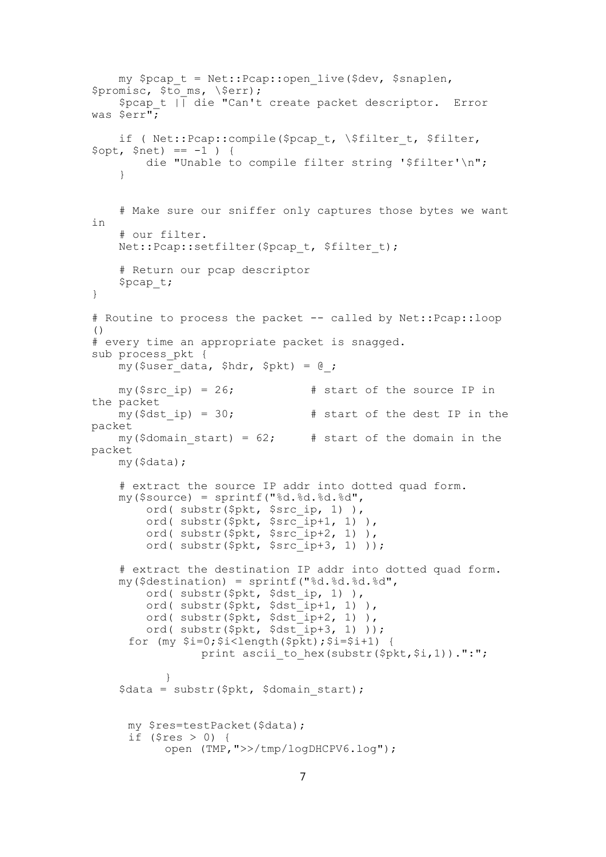```
my $pcap t = Net::Pcap::open live($dev, $snaplen,
$promisc, $to_ms, \$err);
     $pcap_t || die "Can't create packet descriptor. Error 
was $err";
    if ( Net::Pcap::compile($pcap t, \$filter t, $filter,
$opt, $net) == -1 ) {
         die "Unable to compile filter string '$filter'\n";
     }
     # Make sure our sniffer only captures those bytes we want 
in
     # our filter.
    Net::Pcap::setfilter($pcap_t, $filter_t);
     # Return our pcap descriptor
     $pcap_t;
}
# Routine to process the packet -- called by Net::Pcap::loop
()
# every time an appropriate packet is snagged.
sub process pkt {
   my(\$useer data, $hdr, $pkt) = 0;my(Ssrc ip) = 26; # start of the source IP in
the packet
   my(5dst ip) = 30; # start of the dest IP in the
packet
   my($domain start) = 62; # start of the domain in the
packet
    my($data);
     # extract the source IP addr into dotted quad form.
     my($source) = sprintf("%d.%d.%d.%d",
        ord( substr($pkt, $src ip, 1) ),
        ord( substr(\n$pkt, $\n$src^-ip+1, 1) ),
        ord( substr($pkt, $src_ip+2, 1) ),
        ord( substr(\frac{5}{7}kt, \frac{5}{7}src\frac{1}{7}j);
     # extract the destination IP addr into dotted quad form.
     my($destination) = sprintf("%d.%d.%d.%d",
        ord( substr($pkt, $dst ip, 1) ),
ord( substr($pkt, $dst_ip+1, 1) ),
ord( substr($pkt, $dst_ip+2, 1) ),
        ord( substr(\overline{spkt}, \overline{sdst}^{-1}p+3, 1) ));
     for (my $i=0; $i<length ($pRt)$; $i=$i+1) {
                print ascii to hex(substr($pkt,$i,1)).":";
           }
     $data = substr($pkt, $domain_start);
     my $res=testPacket($data);
     if ($res > 0) {
           open (TMP,">>/tmp/logDHCPV6.log");
```